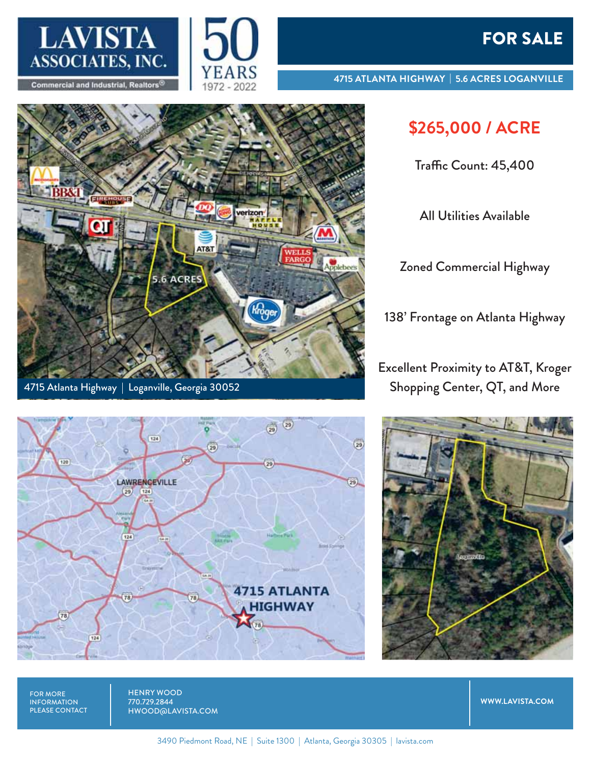



**4715 ATLANTA HIGHWAY | 5.6 ACRES LOGANVILLE**

## **\$265,000 / ACRE**

Traffic Count: 45,400

All Utilities Available

Zoned Commercial Highway

138' Frontage on Atlanta Highway

Excellent Proximity to AT&T, Kroger Shopping Center, QT, and More







FOR MORE INFORMATION PLEASE CONTACT HENRY WOOD 770.729.2844 HWOOD@LAVISTA.COM

**WWW.LAVISTA.COM**